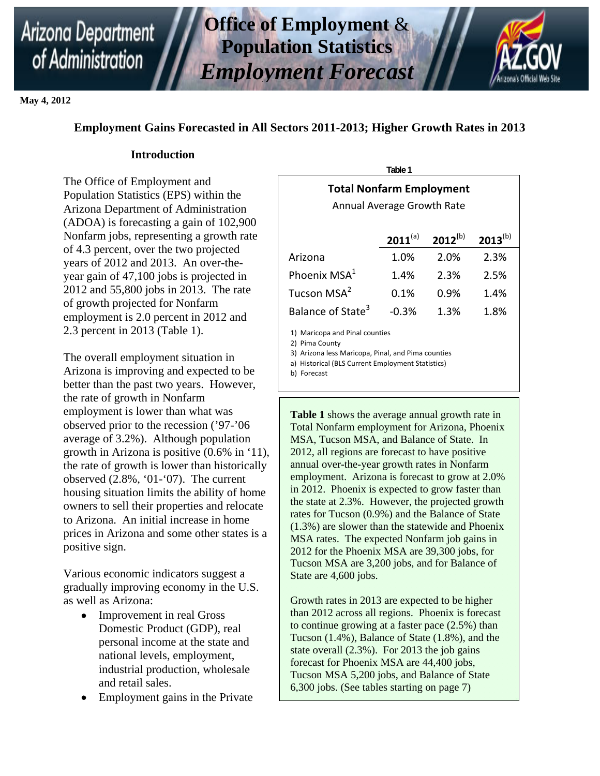# of Administration





**May 4, 2012** 

## **Employment Gains Forecasted in All Sectors 2011-2013; Higher Growth Rates in 2013**

### **Introduction**

The Office of Employment and Population Statistics (EPS) within the Arizona Department of Administration (ADOA) is forecasting a gain of 102,900 Nonfarm jobs, representing a growth rate of 4.3 percent, over the two projected years of 2012 and 2013. An over-theyear gain of 47,100 jobs is projected in 2012 and 55,800 jobs in 2013. The rate of growth projected for Nonfarm employment is 2.0 percent in 2012 and 2.3 percent in 2013 (Table 1).

The overall employment situation in Arizona is improving and expected to be better than the past two years. However, the rate of growth in Nonfarm employment is lower than what was observed prior to the recession ('97-'06 average of 3.2%). Although population growth in Arizona is positive (0.6% in '11), the rate of growth is lower than historically observed (2.8%, '01-'07). The current housing situation limits the ability of home owners to sell their properties and relocate to Arizona. An initial increase in home prices in Arizona and some other states is a positive sign.

Various economic indicators suggest a gradually improving economy in the U.S. as well as Arizona:

- Improvement in real Gross Domestic Product (GDP), real personal income at the state and national levels, employment, industrial production, wholesale and retail sales.
- Employment gains in the Private

| i avit i                                                      |         |      |      |  |  |  |  |
|---------------------------------------------------------------|---------|------|------|--|--|--|--|
| <b>Total Nonfarm Employment</b><br>Annual Average Growth Rate |         |      |      |  |  |  |  |
| $2011^{(a)}$<br>$2012^{(b)}$<br>$2013^{(b)}$                  |         |      |      |  |  |  |  |
| Arizona                                                       | 1.0%    | 2.0% | 2.3% |  |  |  |  |
| Phoenix MSA <sup>1</sup>                                      | 1.4%    | 2.3% | 2.5% |  |  |  |  |
| Tucson MSA <sup>2</sup>                                       | 0.1%    | 0.9% | 1.4% |  |  |  |  |
| Balance of State <sup>3</sup>                                 | $-0.3%$ | 1.3% | 1.8% |  |  |  |  |
|                                                               |         |      |      |  |  |  |  |

**Table 1** 

1) Maricopa and Pinal counties

2) Pima County

3) Arizona less Maricopa, Pinal, and Pima counties

a) Historical (BLS Current Employment Statistics)

b) Forecast

**Table 1** shows the average annual growth rate in Total Nonfarm employment for Arizona, Phoenix MSA, Tucson MSA, and Balance of State. In 2012, all regions are forecast to have positive annual over-the-year growth rates in Nonfarm employment. Arizona is forecast to grow at 2.0% in 2012. Phoenix is expected to grow faster than the state at 2.3%. However, the projected growth rates for Tucson (0.9%) and the Balance of State (1.3%) are slower than the statewide and Phoenix MSA rates. The expected Nonfarm job gains in 2012 for the Phoenix MSA are 39,300 jobs, for Tucson MSA are 3,200 jobs, and for Balance of State are 4,600 jobs.

Growth rates in 2013 are expected to be higher than 2012 across all regions. Phoenix is forecast to continue growing at a faster pace (2.5%) than Tucson (1.4%), Balance of State (1.8%), and the state overall (2.3%). For 2013 the job gains forecast for Phoenix MSA are 44,400 jobs, Tucson MSA 5,200 jobs, and Balance of State 6,300 jobs. (See tables starting on page 7)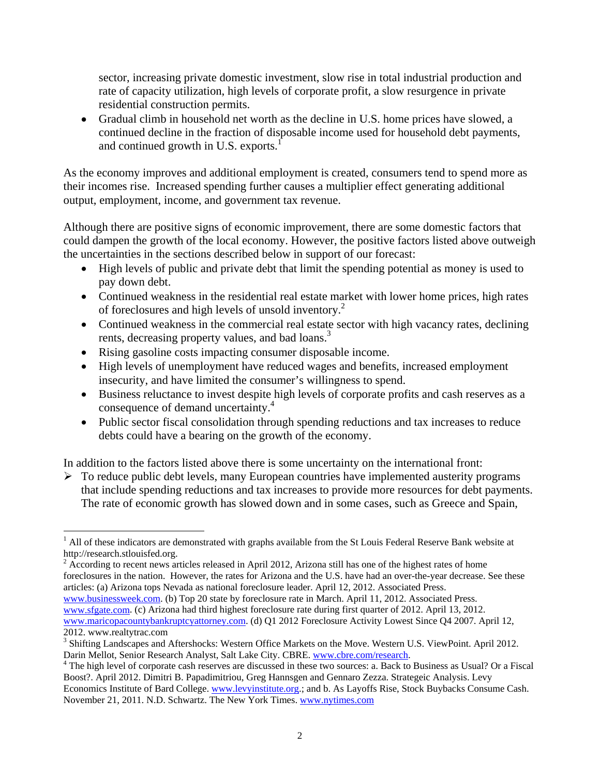sector, increasing private domestic investment, slow rise in total industrial production and rate of capacity utilization, high levels of corporate profit, a slow resurgence in private residential construction permits.

 Gradual climb in household net worth as the decline in U.S. home prices have slowed, a continued decline in the fraction of disposable income used for household debt payments, and continued growth in U.S. exports.<sup>1</sup>

As the economy improves and additional employment is created, consumers tend to spend more as their incomes rise. Increased spending further causes a multiplier effect generating additional output, employment, income, and government tax revenue.

Although there are positive signs of economic improvement, there are some domestic factors that could dampen the growth of the local economy. However, the positive factors listed above outweigh the uncertainties in the sections described below in support of our forecast:

- High levels of public and private debt that limit the spending potential as money is used to pay down debt.
- Continued weakness in the residential real estate market with lower home prices, high rates of foreclosures and high levels of unsold inventory.2
- Continued weakness in the commercial real estate sector with high vacancy rates, declining rents, decreasing property values, and bad loans.<sup>3</sup>
- Rising gasoline costs impacting consumer disposable income.

 $\overline{a}$ 

- High levels of unemployment have reduced wages and benefits, increased employment insecurity, and have limited the consumer's willingness to spend.
- Business reluctance to invest despite high levels of corporate profits and cash reserves as a consequence of demand uncertainty.4
- Public sector fiscal consolidation through spending reductions and tax increases to reduce debts could have a bearing on the growth of the economy.

In addition to the factors listed above there is some uncertainty on the international front:

 $\triangleright$  To reduce public debt levels, many European countries have implemented austerity programs that include spending reductions and tax increases to provide more resources for debt payments. The rate of economic growth has slowed down and in some cases, such as Greece and Spain,

 $2 \text{ According to recent news articles released in April 2012, Arizona still has one of the highest rates of home.}$ foreclosures in the nation. However, the rates for Arizona and the U.S. have had an over-the-year decrease. See these articles: (a) Arizona tops Nevada as national foreclosure leader. April 12, 2012. Associated Press.

www.businessweek.com. (b) Top 20 state by foreclosure rate in March. April 11, 2012. Associated Press. www.sfgate.com. (c) Arizona had third highest foreclosure rate during first quarter of 2012. April 13, 2012. www.maricopacountybankruptcyattorney.com. (d) Q1 2012 Foreclosure Activity Lowest Since Q4 2007. April 12, 2012. www.realtytrac.com

 $<sup>1</sup>$  All of these indicators are demonstrated with graphs available from the St Louis Federal Reserve Bank website at</sup> http://research.stlouisfed.org.

<sup>&</sup>lt;sup>3</sup> Shifting Landscapes and Aftershocks: Western Office Markets on the Move. Western U.S. ViewPoint. April 2012. Darin Mellot, Senior Research Analyst, Salt Lake City. CBRE. www.cbre.com/research. 4

<sup>&</sup>lt;sup>4</sup> The high level of corporate cash reserves are discussed in these two sources: a. Back to Business as Usual? Or a Fiscal Boost?. April 2012. Dimitri B. Papadimitriou, Greg Hannsgen and Gennaro Zezza. Strategeic Analysis. Levy Economics Institute of Bard College. www.levyinstitute.org.; and b. As Layoffs Rise, Stock Buybacks Consume Cash. November 21, 2011. N.D. Schwartz. The New York Times. www.nytimes.com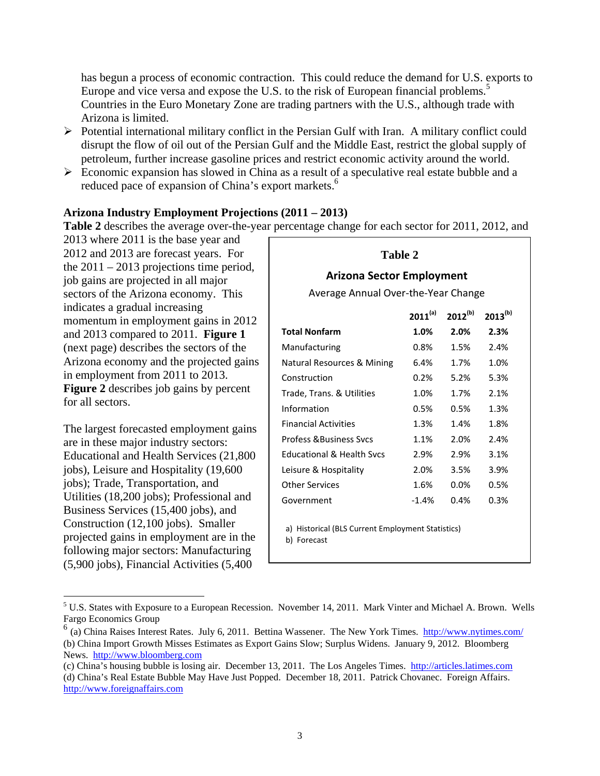has begun a process of economic contraction. This could reduce the demand for U.S. exports to Europe and vice versa and expose the U.S. to the risk of European financial problems.<sup>5</sup> Countries in the Euro Monetary Zone are trading partners with the U.S., although trade with Arizona is limited.

- $\triangleright$  Potential international military conflict in the Persian Gulf with Iran. A military conflict could disrupt the flow of oil out of the Persian Gulf and the Middle East, restrict the global supply of petroleum, further increase gasoline prices and restrict economic activity around the world.
- $\triangleright$  Economic expansion has slowed in China as a result of a speculative real estate bubble and a reduced pace of expansion of China's export markets.<sup>6</sup>

#### **Arizona Industry Employment Projections (2011 – 2013)**

**Table 2** describes the average over-the-year percentage change for each sector for 2011, 2012, and

2013 where 2011 is the base year and 2012 and 2013 are forecast years. For the  $2011 - 2013$  projections time period, job gains are projected in all major sectors of the Arizona economy. This indicates a gradual increasing momentum in employment gains in 2012 and 2013 compared to 2011. **Figure 1**  (next page) describes the sectors of the Arizona economy and the projected gains in employment from 2011 to 2013. **Figure 2** describes job gains by percent for all sectors.

The largest forecasted employment gains are in these major industry sectors: Educational and Health Services (21,800 jobs), Leisure and Hospitality (19,600 jobs); Trade, Transportation, and Utilities (18,200 jobs); Professional and Business Services (15,400 jobs), and Construction (12,100 jobs). Smaller projected gains in employment are in the following major sectors: Manufacturing (5,900 jobs), Financial Activities (5,400

| Table 2<br><b>Arizona Sector Employment</b>                      |              |              |              |  |  |  |
|------------------------------------------------------------------|--------------|--------------|--------------|--|--|--|
| Average Annual Over-the-Year Change                              |              |              |              |  |  |  |
|                                                                  | $2011^{(a)}$ | $2012^{(b)}$ | $2013^{(b)}$ |  |  |  |
| <b>Total Nonfarm</b>                                             | 1.0%         | 2.0%         | 2.3%         |  |  |  |
| Manufacturing                                                    | 0.8%         | 1.5%         | 2.4%         |  |  |  |
| Natural Resources & Mining                                       | 6.4%         | 1.7%         | 1.0%         |  |  |  |
| Construction                                                     | 0.2%         | 5.2%         | 5.3%         |  |  |  |
| Trade, Trans. & Utilities                                        | 1.0%         | 1.7%         | 2.1%         |  |  |  |
| Information                                                      | 0.5%         | 0.5%         | 1.3%         |  |  |  |
| <b>Financial Activities</b>                                      | 1.3%         | 1.4%         | 1.8%         |  |  |  |
| <b>Profess &amp; Business Sycs</b>                               | 1.1%         | 2.0%         | 2.4%         |  |  |  |
| <b>Educational &amp; Health Sycs</b>                             | 2.9%         | 2.9%         | 3.1%         |  |  |  |
| Leisure & Hospitality                                            | 2.0%         | 3.5%         | 3.9%         |  |  |  |
| Other Services                                                   | 1.6%         | 0.0%         | 0.5%         |  |  |  |
| Government                                                       | $-1.4\%$     | 0.4%         | 0.3%         |  |  |  |
| a) Historical (BLS Current Employment Statistics)<br>b) Forecast |              |              |              |  |  |  |

 $\overline{a}$ <sup>5</sup> U.S. States with Exposure to a European Recession. November 14, 2011. Mark Vinter and Michael A. Brown. Wells Fargo Economics Group

 $6$  (a) China Raises Interest Rates. July 6, 2011. Bettina Wassener. The New York Times. http://www.nytimes.com/ (b) China Import Growth Misses Estimates as Export Gains Slow; Surplus Widens. January 9, 2012. Bloomberg News. http://www.bloomberg.com

<sup>(</sup>c) China's housing bubble is losing air. December 13, 2011. The Los Angeles Times. http://articles.latimes.com (d) China's Real Estate Bubble May Have Just Popped. December 18, 2011. Patrick Chovanec. Foreign Affairs. http://www.foreignaffairs.com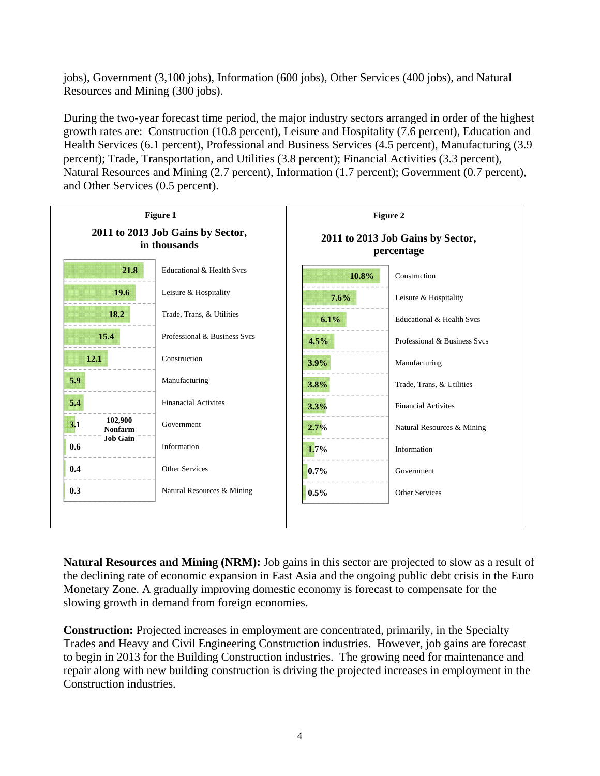jobs), Government (3,100 jobs), Information (600 jobs), Other Services (400 jobs), and Natural Resources and Mining (300 jobs).

During the two-year forecast time period, the major industry sectors arranged in order of the highest growth rates are: Construction (10.8 percent), Leisure and Hospitality (7.6 percent), Education and Health Services (6.1 percent), Professional and Business Services (4.5 percent), Manufacturing (3.9 percent); Trade, Transportation, and Utilities (3.8 percent); Financial Activities (3.3 percent), Natural Resources and Mining (2.7 percent), Information (1.7 percent); Government (0.7 percent), and Other Services (0.5 percent).



**Natural Resources and Mining (NRM):** Job gains in this sector are projected to slow as a result of the declining rate of economic expansion in East Asia and the ongoing public debt crisis in the Euro Monetary Zone. A gradually improving domestic economy is forecast to compensate for the slowing growth in demand from foreign economies.

**Construction:** Projected increases in employment are concentrated, primarily, in the Specialty Trades and Heavy and Civil Engineering Construction industries. However, job gains are forecast to begin in 2013 for the Building Construction industries. The growing need for maintenance and repair along with new building construction is driving the projected increases in employment in the Construction industries.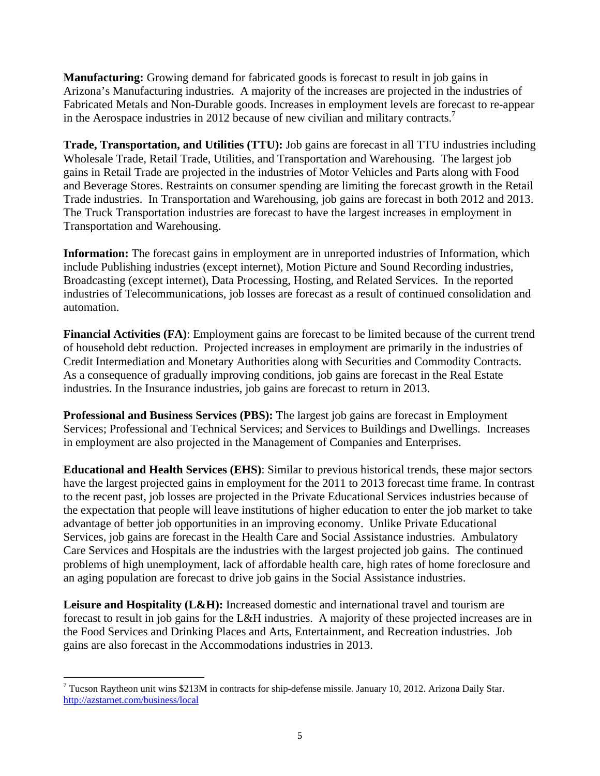**Manufacturing:** Growing demand for fabricated goods is forecast to result in job gains in Arizona's Manufacturing industries. A majority of the increases are projected in the industries of Fabricated Metals and Non-Durable goods. Increases in employment levels are forecast to re-appear in the Aerospace industries in 2012 because of new civilian and military contracts.<sup>7</sup>

**Trade, Transportation, and Utilities (TTU):** Job gains are forecast in all TTU industries including Wholesale Trade, Retail Trade, Utilities, and Transportation and Warehousing. The largest job gains in Retail Trade are projected in the industries of Motor Vehicles and Parts along with Food and Beverage Stores. Restraints on consumer spending are limiting the forecast growth in the Retail Trade industries. In Transportation and Warehousing, job gains are forecast in both 2012 and 2013. The Truck Transportation industries are forecast to have the largest increases in employment in Transportation and Warehousing.

**Information:** The forecast gains in employment are in unreported industries of Information, which include Publishing industries (except internet), Motion Picture and Sound Recording industries, Broadcasting (except internet), Data Processing, Hosting, and Related Services. In the reported industries of Telecommunications, job losses are forecast as a result of continued consolidation and automation.

**Financial Activities (FA)**: Employment gains are forecast to be limited because of the current trend of household debt reduction. Projected increases in employment are primarily in the industries of Credit Intermediation and Monetary Authorities along with Securities and Commodity Contracts. As a consequence of gradually improving conditions, job gains are forecast in the Real Estate industries. In the Insurance industries, job gains are forecast to return in 2013.

**Professional and Business Services (PBS):** The largest job gains are forecast in Employment Services; Professional and Technical Services; and Services to Buildings and Dwellings. Increases in employment are also projected in the Management of Companies and Enterprises.

**Educational and Health Services (EHS)**: Similar to previous historical trends, these major sectors have the largest projected gains in employment for the 2011 to 2013 forecast time frame. In contrast to the recent past, job losses are projected in the Private Educational Services industries because of the expectation that people will leave institutions of higher education to enter the job market to take advantage of better job opportunities in an improving economy. Unlike Private Educational Services, job gains are forecast in the Health Care and Social Assistance industries. Ambulatory Care Services and Hospitals are the industries with the largest projected job gains. The continued problems of high unemployment, lack of affordable health care, high rates of home foreclosure and an aging population are forecast to drive job gains in the Social Assistance industries.

Leisure and Hospitality (L&H): Increased domestic and international travel and tourism are forecast to result in job gains for the L&H industries. A majority of these projected increases are in the Food Services and Drinking Places and Arts, Entertainment, and Recreation industries. Job gains are also forecast in the Accommodations industries in 2013.

 $\overline{a}$ 

<sup>&</sup>lt;sup>7</sup> Tucson Raytheon unit wins \$213M in contracts for ship-defense missile. January 10, 2012. Arizona Daily Star. http://azstarnet.com/business/local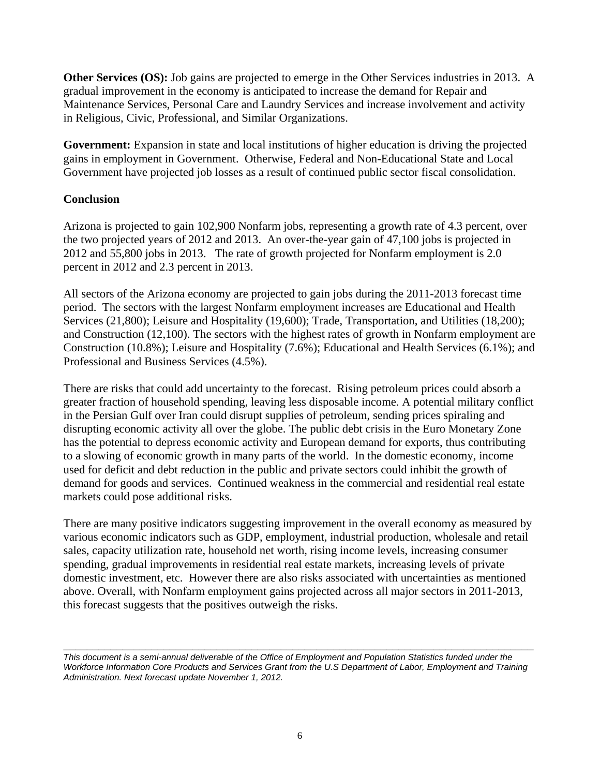**Other Services (OS):** Job gains are projected to emerge in the Other Services industries in 2013. A gradual improvement in the economy is anticipated to increase the demand for Repair and Maintenance Services, Personal Care and Laundry Services and increase involvement and activity in Religious, Civic, Professional, and Similar Organizations.

**Government:** Expansion in state and local institutions of higher education is driving the projected gains in employment in Government. Otherwise, Federal and Non-Educational State and Local Government have projected job losses as a result of continued public sector fiscal consolidation.

#### **Conclusion**

Arizona is projected to gain 102,900 Nonfarm jobs, representing a growth rate of 4.3 percent, over the two projected years of 2012 and 2013. An over-the-year gain of 47,100 jobs is projected in 2012 and 55,800 jobs in 2013. The rate of growth projected for Nonfarm employment is 2.0 percent in 2012 and 2.3 percent in 2013.

All sectors of the Arizona economy are projected to gain jobs during the 2011-2013 forecast time period. The sectors with the largest Nonfarm employment increases are Educational and Health Services (21,800); Leisure and Hospitality (19,600); Trade, Transportation, and Utilities (18,200); and Construction (12,100). The sectors with the highest rates of growth in Nonfarm employment are Construction (10.8%); Leisure and Hospitality (7.6%); Educational and Health Services (6.1%); and Professional and Business Services (4.5%).

There are risks that could add uncertainty to the forecast. Rising petroleum prices could absorb a greater fraction of household spending, leaving less disposable income. A potential military conflict in the Persian Gulf over Iran could disrupt supplies of petroleum, sending prices spiraling and disrupting economic activity all over the globe. The public debt crisis in the Euro Monetary Zone has the potential to depress economic activity and European demand for exports, thus contributing to a slowing of economic growth in many parts of the world. In the domestic economy, income used for deficit and debt reduction in the public and private sectors could inhibit the growth of demand for goods and services. Continued weakness in the commercial and residential real estate markets could pose additional risks.

There are many positive indicators suggesting improvement in the overall economy as measured by various economic indicators such as GDP, employment, industrial production, wholesale and retail sales, capacity utilization rate, household net worth, rising income levels, increasing consumer spending, gradual improvements in residential real estate markets, increasing levels of private domestic investment, etc. However there are also risks associated with uncertainties as mentioned above. Overall, with Nonfarm employment gains projected across all major sectors in 2011-2013, this forecast suggests that the positives outweigh the risks.

\_\_\_\_\_\_\_\_\_\_\_\_\_\_\_\_\_\_\_\_\_\_\_\_\_\_\_\_\_\_\_\_\_\_\_\_\_\_\_\_\_\_\_\_\_\_\_\_\_\_\_\_\_\_\_\_\_\_\_\_\_\_\_\_\_\_\_\_\_\_\_\_\_\_\_\_\_\_\_\_ *This document is a semi-annual deliverable of the Office of Employment and Population Statistics funded under the Workforce Information Core Products and Services Grant from the U.S Department of Labor, Employment and Training Administration. Next forecast update November 1, 2012.*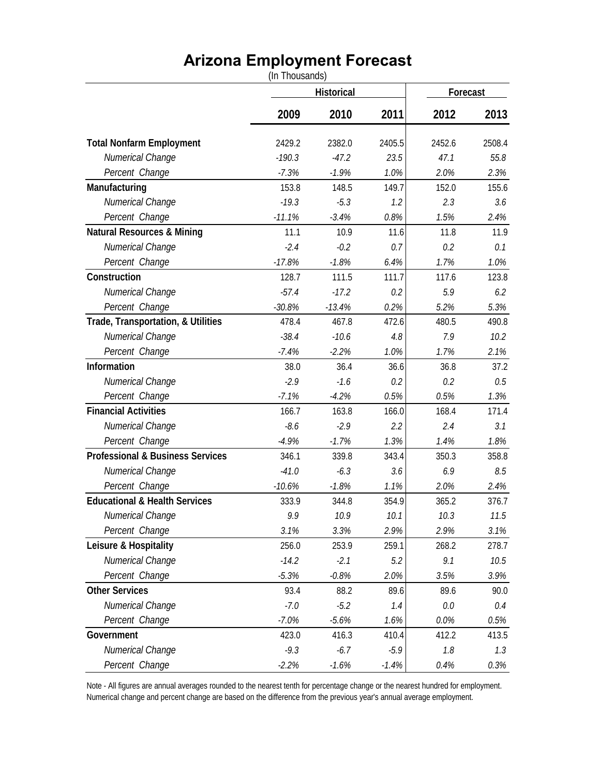## **Arizona Employment Forecast**

|                                             | (In Thousands) |          |          |        |        |
|---------------------------------------------|----------------|----------|----------|--------|--------|
|                                             | Historical     |          | Forecast |        |        |
|                                             | 2009           | 2010     | 2011     | 2012   | 2013   |
| <b>Total Nonfarm Employment</b>             | 2429.2         | 2382.0   | 2405.5   | 2452.6 | 2508.4 |
| Numerical Change                            | $-190.3$       | $-47.2$  | 23.5     | 47.1   | 55.8   |
| Percent Change                              | $-7.3%$        | $-1.9%$  | 1.0%     | 2.0%   | 2.3%   |
| Manufacturing                               | 153.8          | 148.5    | 149.7    | 152.0  | 155.6  |
| Numerical Change                            | $-19.3$        | $-5.3$   | 1.2      | 2.3    | 3.6    |
| Percent Change                              | $-11.1%$       | $-3.4%$  | 0.8%     | 1.5%   | 2.4%   |
| <b>Natural Resources &amp; Mining</b>       | 11.1           | 10.9     | 11.6     | 11.8   | 11.9   |
| Numerical Change                            | $-2.4$         | $-0.2$   | 0.7      | 0.2    | 0.1    |
| Percent Change                              | $-17.8%$       | $-1.8%$  | 6.4%     | 1.7%   | 1.0%   |
| Construction                                | 128.7          | 111.5    | 111.7    | 117.6  | 123.8  |
| Numerical Change                            | $-57.4$        | $-17.2$  | 0.2      | 5.9    | 6.2    |
| Percent Change                              | $-30.8%$       | $-13.4%$ | 0.2%     | 5.2%   | 5.3%   |
| Trade, Transportation, & Utilities          | 478.4          | 467.8    | 472.6    | 480.5  | 490.8  |
| Numerical Change                            | $-38.4$        | $-10.6$  | 4.8      | 7.9    | 10.2   |
| Percent Change                              | $-7.4%$        | $-2.2%$  | 1.0%     | 1.7%   | 2.1%   |
| Information                                 | 38.0           | 36.4     | 36.6     | 36.8   | 37.2   |
| Numerical Change                            | $-2.9$         | $-1.6$   | 0.2      | 0.2    | 0.5    |
| Percent Change                              | $-7.1%$        | $-4.2%$  | 0.5%     | 0.5%   | 1.3%   |
| <b>Financial Activities</b>                 | 166.7          | 163.8    | 166.0    | 168.4  | 171.4  |
| Numerical Change                            | $-8.6$         | $-2.9$   | 2.2      | 2.4    | 3.1    |
| Percent Change                              | $-4.9%$        | $-1.7%$  | 1.3%     | 1.4%   | 1.8%   |
| <b>Professional &amp; Business Services</b> | 346.1          | 339.8    | 343.4    | 350.3  | 358.8  |
| Numerical Change                            | $-41.0$        | $-6.3$   | 3.6      | 6.9    | 8.5    |
| Percent Change                              | $-10.6%$       | $-1.8%$  | 1.1%     | 2.0%   | 2.4%   |
| <b>Educational &amp; Health Services</b>    | 333.9          | 344.8    | 354.9    | 365.2  | 376.7  |
| Numerical Change                            | 9.9            | 10.9     | 10.1     | 10.3   | 11.5   |
| Percent Change                              | 3.1%           | 3.3%     | 2.9%     | 2.9%   | 3.1%   |
| Leisure & Hospitality                       | 256.0          | 253.9    | 259.1    | 268.2  | 278.7  |
| Numerical Change                            | $-14.2$        | $-2.1$   | 5.2      | 9.1    | 10.5   |
| Percent Change                              | $-5.3%$        | $-0.8%$  | 2.0%     | 3.5%   | 3.9%   |
| <b>Other Services</b>                       | 93.4           | 88.2     | 89.6     | 89.6   | 90.0   |
| Numerical Change                            | $-7.0$         | $-5.2$   | 1.4      | 0.0    | 0.4    |
| Percent Change                              | $-7.0%$        | $-5.6%$  | 1.6%     | 0.0%   | 0.5%   |
| Government                                  | 423.0          | 416.3    | 410.4    | 412.2  | 413.5  |
| Numerical Change                            | $-9.3$         | $-6.7$   | $-5.9$   | 7.8    | 1.3    |
| Percent Change                              | $-2.2%$        | $-1.6%$  | $-1.4%$  | 0.4%   | 0.3%   |

Note - All figures are annual averages rounded to the nearest tenth for percentage change or the nearest hundred for employment. Numerical change and percent change are based on the difference from the previous year's annual average employment.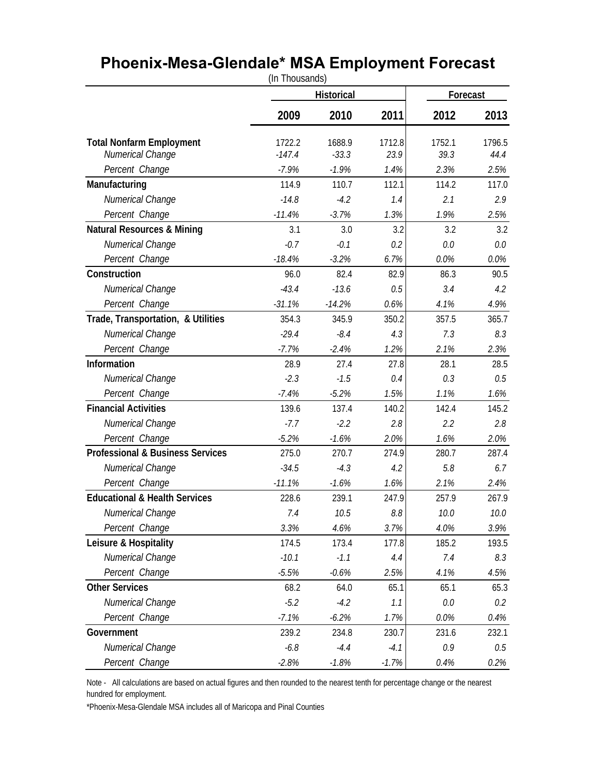## **Phoenix-Mesa-Glendale\* MSA Employment Forecast**

|                                             | (In Thousands)    |          |                           |        |        |
|---------------------------------------------|-------------------|----------|---------------------------|--------|--------|
|                                             | <b>Historical</b> |          | Forecast                  |        |        |
|                                             | 2009              | 2010     | 2011                      | 2012   | 2013   |
| <b>Total Nonfarm Employment</b>             | 1722.2            | 1688.9   | 1712.8                    | 1752.1 | 1796.5 |
| Numerical Change                            | $-147.4$          | $-33.3$  | 23.9                      | 39.3   | 44.4   |
| Percent Change                              | $-7.9%$           | $-1.9%$  | 1.4%                      | 2.3%   | 2.5%   |
| Manufacturing                               | 114.9             | 110.7    | 112.1                     | 114.2  | 117.0  |
| Numerical Change                            | $-14.8$           | $-4.2$   | 1.4                       | 2.1    | 2.9    |
| Percent Change                              | $-11.4%$          | $-3.7%$  | 1.3%                      | 1.9%   | 2.5%   |
| <b>Natural Resources &amp; Mining</b>       | 3.1               | 3.0      | 3.2                       | 3.2    | 3.2    |
| Numerical Change                            | $-0.7$            | $-0.1$   | 0.2                       | 0.0    | 0.0    |
| Percent Change                              | $-18.4%$          | $-3.2%$  | 6.7%                      | 0.0%   | 0.0%   |
| Construction                                | 96.0              | 82.4     | 82.9                      | 86.3   | 90.5   |
| Numerical Change                            | $-43.4$           | $-13.6$  | 0.5                       | 3.4    | 4.2    |
| Percent Change                              | $-31.1%$          | $-14.2%$ | 0.6%                      | 4.1%   | 4.9%   |
| Trade, Transportation, & Utilities          | 354.3             | 345.9    | 350.2                     | 357.5  | 365.7  |
| Numerical Change                            | $-29.4$           | $-8.4$   | 4.3                       | 7.3    | 8.3    |
| Percent Change                              | $-7.7%$           | $-2.4%$  | 1.2%                      | 2.1%   | 2.3%   |
| Information                                 | 28.9              | 27.4     | 27.8                      | 28.1   | 28.5   |
| Numerical Change                            | $-2.3$            | $-1.5$   | 0.4                       | 0.3    | 0.5    |
| Percent Change                              | $-7.4%$           | $-5.2%$  | 1.5%                      | 1.1%   | 1.6%   |
| <b>Financial Activities</b>                 | 139.6             | 137.4    | 140.2                     | 142.4  | 145.2  |
| Numerical Change                            | $-7.7$            | $-2.2$   | 2.8                       | 2.2    | 2.8    |
| Percent Change                              | $-5.2%$           | $-1.6%$  | 2.0%                      | 1.6%   | 2.0%   |
| <b>Professional &amp; Business Services</b> | 275.0             | 270.7    | 274.9                     | 280.7  | 287.4  |
| Numerical Change                            | $-34.5$           | $-4.3$   | 4.2                       | 5.8    | 6.7    |
| Percent Change                              | $-11.1%$          | $-1.6%$  | 1.6%                      | 2.1%   | 2.4%   |
| <b>Educational &amp; Health Services</b>    | 228.6             | 239.1    | 247.9                     | 257.9  | 267.9  |
| Numerical Change                            | 7.4               | 10.5     | $\mathcal{S}.\mathcal{S}$ | 10.0   | 10.0   |
| Percent Change                              | 3.3%              | 4.6%     | 3.7%                      | 4.0%   | 3.9%   |
| Leisure & Hospitality                       | 174.5             | 173.4    | 177.8                     | 185.2  | 193.5  |
| Numerical Change                            | $-10.1$           | $-1.1$   | 4.4                       | 7.4    | 8.3    |
| Percent Change                              | $-5.5%$           | $-0.6%$  | 2.5%                      | 4.1%   | 4.5%   |
| <b>Other Services</b>                       | 68.2              | 64.0     | 65.1                      | 65.1   | 65.3   |
| Numerical Change                            | $-5.2$            | $-4.2$   | 1.1                       | 0.0    | 0.2    |
| Percent Change                              | $-7.1%$           | $-6.2%$  | 1.7%                      | 0.0%   | 0.4%   |
| Government                                  | 239.2             | 234.8    | 230.7                     | 231.6  | 232.1  |
| Numerical Change                            | $-6.8$            | $-4.4$   | $-4.1$                    | 0.9    | 0.5    |
| Percent Change                              | $-2.8%$           | $-1.8%$  | $-1.7%$                   | 0.4%   | 0.2%   |

Note - All calculations are based on actual figures and then rounded to the nearest tenth for percentage change or the nearest hundred for employment.

\*Phoenix-Mesa-Glendale MSA includes all of Maricopa and Pinal Counties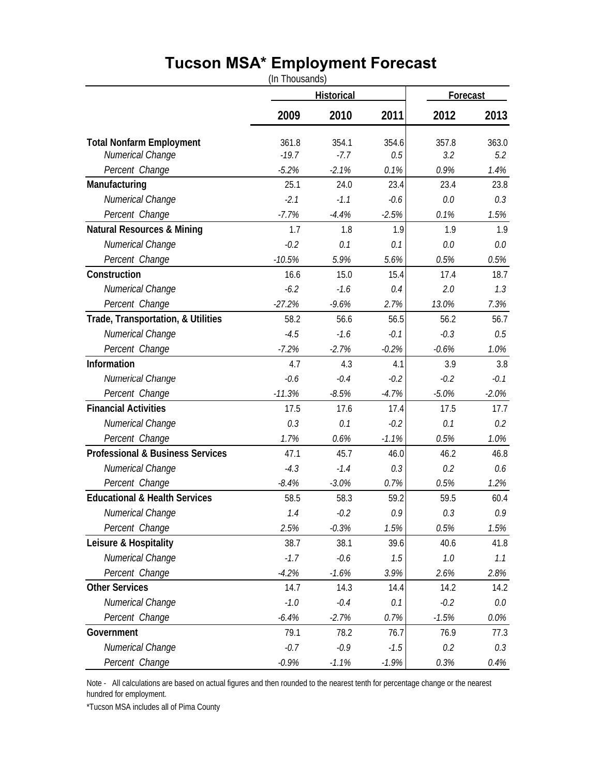## **Tucson MSA\* Employment Forecast**

(In Thousands)

|                                             |          | <b>Historical</b> |         |         | Forecast |  |
|---------------------------------------------|----------|-------------------|---------|---------|----------|--|
|                                             | 2009     | 2010              | 2011    | 2012    | 2013     |  |
| <b>Total Nonfarm Employment</b>             | 361.8    | 354.1             | 354.6   | 357.8   | 363.0    |  |
| Numerical Change                            | $-19.7$  | $-7.7$            | 0.5     | 3.2     | 5.2      |  |
| Percent Change                              | $-5.2%$  | $-2.1%$           | 0.1%    | 0.9%    | 1.4%     |  |
| Manufacturing                               | 25.1     | 24.0              | 23.4    | 23.4    | 23.8     |  |
| Numerical Change                            | $-2.1$   | $-1.1$            | $-0.6$  | 0.0     | 0.3      |  |
| Percent Change                              | $-7.7%$  | $-4.4%$           | $-2.5%$ | 0.1%    | 1.5%     |  |
| <b>Natural Resources &amp; Mining</b>       | 1.7      | 1.8               | 1.9     | 1.9     | 1.9      |  |
| Numerical Change                            | $-0.2$   | 0.1               | 0.1     | 0.0     | 0.0      |  |
| Percent Change                              | $-10.5%$ | 5.9%              | 5.6%    | 0.5%    | 0.5%     |  |
| Construction                                | 16.6     | 15.0              | 15.4    | 17.4    | 18.7     |  |
| Numerical Change                            | $-6.2$   | $-1.6$            | 0.4     | 2.0     | 1.3      |  |
| Percent Change                              | $-27.2%$ | $-9.6%$           | 2.7%    | 13.0%   | 7.3%     |  |
| Trade, Transportation, & Utilities          | 58.2     | 56.6              | 56.5    | 56.2    | 56.7     |  |
| Numerical Change                            | $-4.5$   | $-1.6$            | $-0.1$  | $-0.3$  | 0.5      |  |
| Percent Change                              | $-7.2%$  | $-2.7%$           | $-0.2%$ | $-0.6%$ | 1.0%     |  |
| Information                                 | 4.7      | 4.3               | 4.1     | 3.9     | 3.8      |  |
| Numerical Change                            | $-0.6$   | $-0.4$            | $-0.2$  | $-0.2$  | $-0.1$   |  |
| Percent Change                              | $-11.3%$ | $-8.5%$           | $-4.7%$ | $-5.0%$ | $-2.0%$  |  |
| <b>Financial Activities</b>                 | 17.5     | 17.6              | 17.4    | 17.5    | 17.7     |  |
| Numerical Change                            | 0.3      | 0.1               | $-0.2$  | 0.1     | 0.2      |  |
| Percent Change                              | 1.7%     | 0.6%              | $-1.1%$ | 0.5%    | 1.0%     |  |
| <b>Professional &amp; Business Services</b> | 47.1     | 45.7              | 46.0    | 46.2    | 46.8     |  |
| Numerical Change                            | $-4.3$   | $-1.4$            | 0.3     | 0.2     | 0.6      |  |
| Percent Change                              | $-8.4%$  | $-3.0%$           | 0.7%    | 0.5%    | 1.2%     |  |
| <b>Educational &amp; Health Services</b>    | 58.5     | 58.3              | 59.2    | 59.5    | 60.4     |  |
| Numerical Change                            | 1.4      | $-0.2$            | 0.9     | 0.3     | 0.9      |  |
| Percent Change                              | 2.5%     | $-0.3%$           | 1.5%    | 0.5%    | 1.5%     |  |
| Leisure & Hospitality                       | 38.7     | 38.1              | 39.6    | 40.6    | 41.8     |  |
| Numerical Change                            | $-1.7$   | $-0.6$            | 1.5     | 1.0     | 1.1      |  |
| Percent Change                              | $-4.2%$  | $-1.6%$           | 3.9%    | 2.6%    | 2.8%     |  |
| <b>Other Services</b>                       | 14.7     | 14.3              | 14.4    | 14.2    | 14.2     |  |
| Numerical Change                            | $-1.0$   | $-0.4$            | 0.1     | $-0.2$  | 0.0      |  |
| Percent Change                              | $-6.4%$  | $-2.7%$           | 0.7%    | $-1.5%$ | 0.0%     |  |
| Government                                  | 79.1     | 78.2              | 76.7    | 76.9    | 77.3     |  |
| Numerical Change                            | $-0.7$   | $-0.9$            | $-1.5$  | 0.2     | 0.3      |  |
| Percent Change                              | $-0.9%$  | $-1.1%$           | $-1.9%$ | 0.3%    | 0.4%     |  |

Note - All calculations are based on actual figures and then rounded to the nearest tenth for percentage change or the nearest hundred for employment.

\*Tucson MSA includes all of Pima County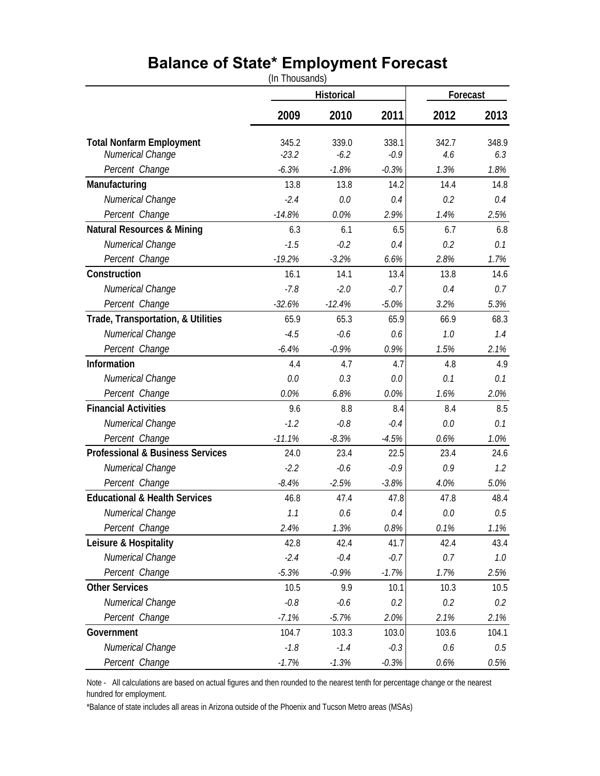## **Balance of State\* Employment Forecast**

(In Thousands)

|                                             | Historical |          |         | Forecast |       |
|---------------------------------------------|------------|----------|---------|----------|-------|
|                                             | 2009       | 2010     | 2011    | 2012     | 2013  |
| <b>Total Nonfarm Employment</b>             | 345.2      | 339.0    | 338.1   | 342.7    | 348.9 |
| Numerical Change                            | $-23.2$    | $-6.2$   | $-0.9$  | 4.6      | 6.3   |
| Percent Change                              | $-6.3%$    | $-1.8%$  | $-0.3%$ | 1.3%     | 1.8%  |
| Manufacturing                               | 13.8       | 13.8     | 14.2    | 14.4     | 14.8  |
| Numerical Change                            | $-2.4$     | 0.0      | 0.4     | 0.2      | 0.4   |
| Percent Change                              | $-14.8%$   | 0.0%     | 2.9%    | 1.4%     | 2.5%  |
| <b>Natural Resources &amp; Mining</b>       | 6.3        | 6.1      | 6.5     | 6.7      | 6.8   |
| Numerical Change                            | $-1.5$     | $-0.2$   | 0.4     | 0.2      | 0.1   |
| Percent Change                              | $-19.2%$   | $-3.2%$  | 6.6%    | 2.8%     | 1.7%  |
| Construction                                | 16.1       | 14.1     | 13.4    | 13.8     | 14.6  |
| Numerical Change                            | $-7.8$     | $-2.0$   | $-0.7$  | 0.4      | 0.7   |
| Percent Change                              | $-32.6%$   | $-12.4%$ | $-5.0%$ | 3.2%     | 5.3%  |
| Trade, Transportation, & Utilities          | 65.9       | 65.3     | 65.9    | 66.9     | 68.3  |
| Numerical Change                            | $-4.5$     | $-0.6$   | 0.6     | 7.0      | 1.4   |
| Percent Change                              | $-6.4%$    | $-0.9%$  | 0.9%    | 1.5%     | 2.1%  |
| Information                                 | 4.4        | 4.7      | 4.7     | 4.8      | 4.9   |
| Numerical Change                            | 0.0        | 0.3      | 0.0     | 0.1      | 0.1   |
| Percent Change                              | 0.0%       | 6.8%     | 0.0%    | 1.6%     | 2.0%  |
| <b>Financial Activities</b>                 | 9.6        | 8.8      | 8.4     | 8.4      | 8.5   |
| Numerical Change                            | $-1.2$     | $-0.8$   | $-0.4$  | 0.0      | 0.1   |
| Percent Change                              | $-11.1%$   | $-8.3%$  | $-4.5%$ | 0.6%     | 1.0%  |
| <b>Professional &amp; Business Services</b> | 24.0       | 23.4     | 22.5    | 23.4     | 24.6  |
| Numerical Change                            | $-2.2$     | $-0.6$   | $-0.9$  | 0.9      | 1.2   |
| Percent Change                              | $-8.4%$    | $-2.5%$  | $-3.8%$ | 4.0%     | 5.0%  |
| <b>Educational &amp; Health Services</b>    | 46.8       | 47.4     | 47.8    | 47.8     | 48.4  |
| Numerical Change                            | 1.1        | 0.6      | 0.4     | 0.0      | 0.5   |
| Percent Change                              | 2.4%       | 1.3%     | 0.8%    | 0.1%     | 1.1%  |
| Leisure & Hospitality                       | 42.8       | 42.4     | 41.7    | 42.4     | 43.4  |
| Numerical Change                            | $-2.4$     | $-0.4$   | $-0.7$  | 0.7      | 1.0   |
| Percent Change                              | $-5.3%$    | $-0.9%$  | $-1.7%$ | 1.7%     | 2.5%  |
| <b>Other Services</b>                       | 10.5       | 9.9      | 10.1    | 10.3     | 10.5  |
| Numerical Change                            | $-0.8$     | $-0.6$   | 0.2     | 0.2      | 0.2   |
| Percent Change                              | $-7.1%$    | $-5.7%$  | 2.0%    | 2.1%     | 2.1%  |
| Government                                  | 104.7      | 103.3    | 103.0   | 103.6    | 104.1 |
| Numerical Change                            | $-1.8$     | $-1.4$   | $-0.3$  | 0.6      | 0.5   |
| Percent Change                              | $-1.7%$    | $-1.3%$  | $-0.3%$ | 0.6%     | 0.5%  |

Note - All calculations are based on actual figures and then rounded to the nearest tenth for percentage change or the nearest hundred for employment.

\*Balance of state includes all areas in Arizona outside of the Phoenix and Tucson Metro areas (MSAs)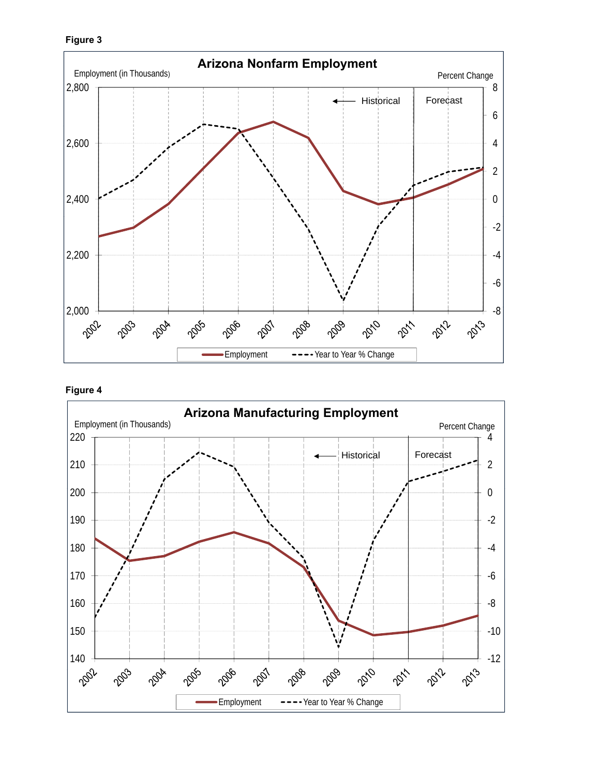





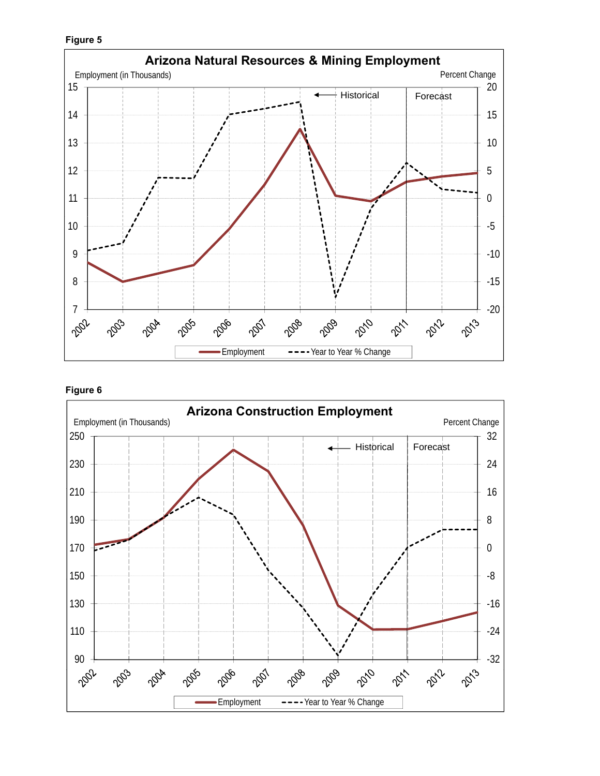





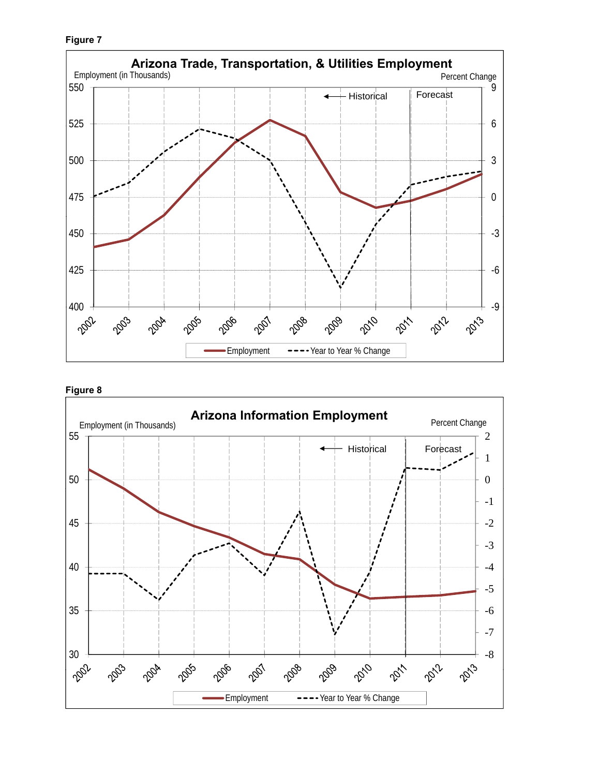**Figure 7**





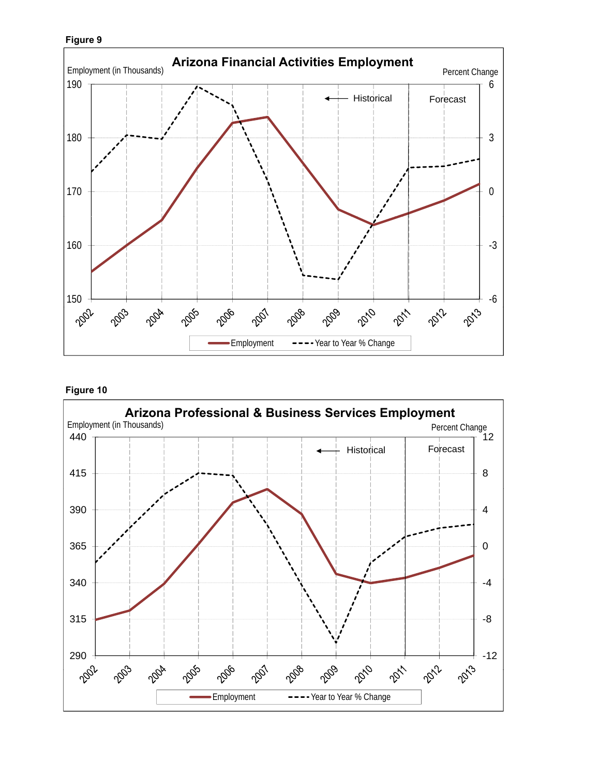



#### **Figure 10**

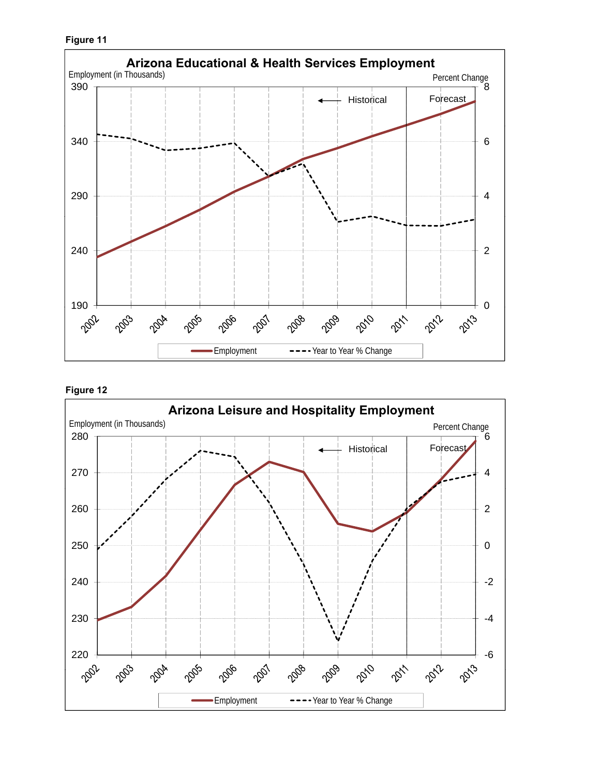

#### **Figure 12**

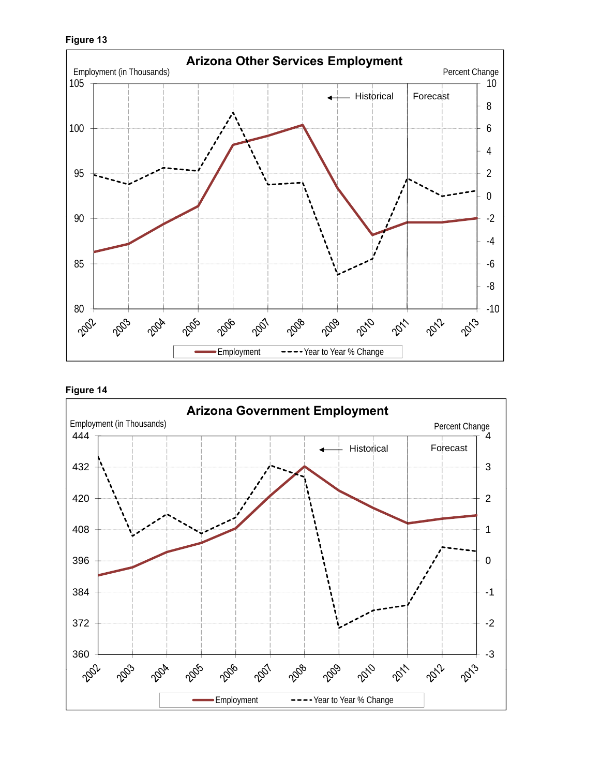



**Figure 14**